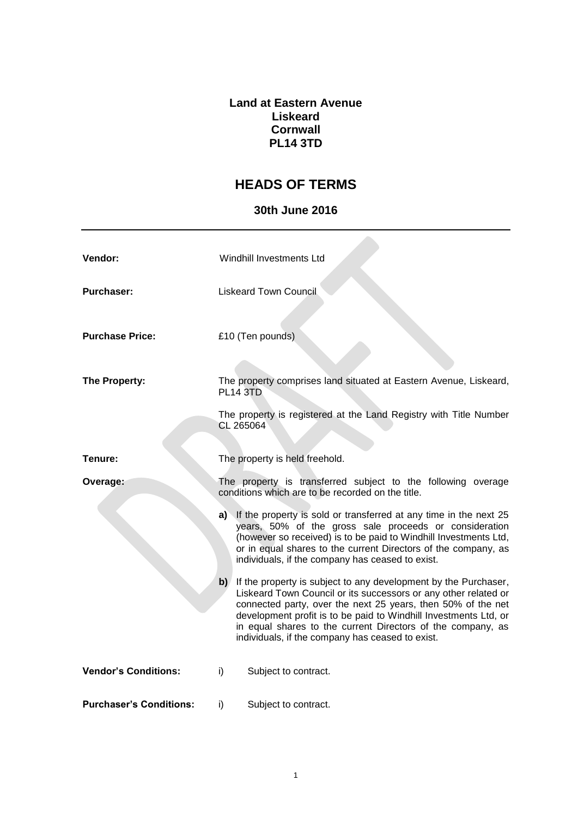## **Land at Eastern Avenue Liskeard Cornwall PL14 3TD**

## **HEADS OF TERMS**

## **30th June 2016**

| Vendor:                        | Windhill Investments Ltd                                                                                                                                                                                                                                                                                                                                                                     |
|--------------------------------|----------------------------------------------------------------------------------------------------------------------------------------------------------------------------------------------------------------------------------------------------------------------------------------------------------------------------------------------------------------------------------------------|
| <b>Purchaser:</b>              | <b>Liskeard Town Council</b>                                                                                                                                                                                                                                                                                                                                                                 |
| <b>Purchase Price:</b>         | £10 (Ten pounds)                                                                                                                                                                                                                                                                                                                                                                             |
| The Property:                  | The property comprises land situated at Eastern Avenue, Liskeard,<br><b>PL14 3TD</b>                                                                                                                                                                                                                                                                                                         |
|                                | The property is registered at the Land Registry with Title Number<br>CL 265064                                                                                                                                                                                                                                                                                                               |
| Tenure:                        | The property is held freehold.                                                                                                                                                                                                                                                                                                                                                               |
| Overage:                       | The property is transferred subject to the following overage<br>conditions which are to be recorded on the title.                                                                                                                                                                                                                                                                            |
|                                | a) If the property is sold or transferred at any time in the next 25<br>years, 50% of the gross sale proceeds or consideration<br>(however so received) is to be paid to Windhill Investments Ltd,<br>or in equal shares to the current Directors of the company, as<br>individuals, if the company has ceased to exist.                                                                     |
|                                | b) If the property is subject to any development by the Purchaser,<br>Liskeard Town Council or its successors or any other related or<br>connected party, over the next 25 years, then 50% of the net<br>development profit is to be paid to Windhill Investments Ltd, or<br>in equal shares to the current Directors of the company, as<br>individuals, if the company has ceased to exist. |
| <b>Vendor's Conditions:</b>    | i)<br>Subject to contract.                                                                                                                                                                                                                                                                                                                                                                   |
| <b>Purchaser's Conditions:</b> | i)<br>Subject to contract.                                                                                                                                                                                                                                                                                                                                                                   |